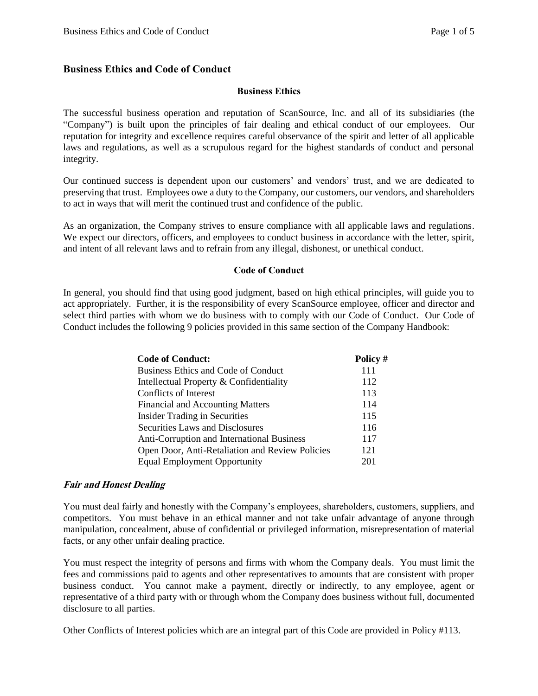#### **Business Ethics and Code of Conduct**

#### **Business Ethics**

The successful business operation and reputation of ScanSource, Inc. and all of its subsidiaries (the "Company") is built upon the principles of fair dealing and ethical conduct of our employees. Our reputation for integrity and excellence requires careful observance of the spirit and letter of all applicable laws and regulations, as well as a scrupulous regard for the highest standards of conduct and personal integrity.

Our continued success is dependent upon our customers' and vendors' trust, and we are dedicated to preserving that trust. Employees owe a duty to the Company, our customers, our vendors, and shareholders to act in ways that will merit the continued trust and confidence of the public.

As an organization, the Company strives to ensure compliance with all applicable laws and regulations. We expect our directors, officers, and employees to conduct business in accordance with the letter, spirit, and intent of all relevant laws and to refrain from any illegal, dishonest, or unethical conduct.

#### **Code of Conduct**

In general, you should find that using good judgment, based on high ethical principles, will guide you to act appropriately. Further, it is the responsibility of every ScanSource employee, officer and director and select third parties with whom we do business with to comply with our Code of Conduct. Our Code of Conduct includes the following 9 policies provided in this same section of the Company Handbook:

| <b>Code of Conduct:</b>                         | Policy # |
|-------------------------------------------------|----------|
| Business Ethics and Code of Conduct             | 111      |
| Intellectual Property & Confidentiality         | 112      |
| Conflicts of Interest                           | 113      |
| <b>Financial and Accounting Matters</b>         | 114      |
| <b>Insider Trading in Securities</b>            | 115      |
| Securities Laws and Disclosures                 | 116      |
| Anti-Corruption and International Business      | 117      |
| Open Door, Anti-Retaliation and Review Policies | 121      |
| <b>Equal Employment Opportunity</b>             | 201      |

#### **Fair and Honest Dealing**

You must deal fairly and honestly with the Company's employees, shareholders, customers, suppliers, and competitors. You must behave in an ethical manner and not take unfair advantage of anyone through manipulation, concealment, abuse of confidential or privileged information, misrepresentation of material facts, or any other unfair dealing practice.

You must respect the integrity of persons and firms with whom the Company deals. You must limit the fees and commissions paid to agents and other representatives to amounts that are consistent with proper business conduct. You cannot make a payment, directly or indirectly, to any employee, agent or representative of a third party with or through whom the Company does business without full, documented disclosure to all parties.

Other Conflicts of Interest policies which are an integral part of this Code are provided in Policy #113.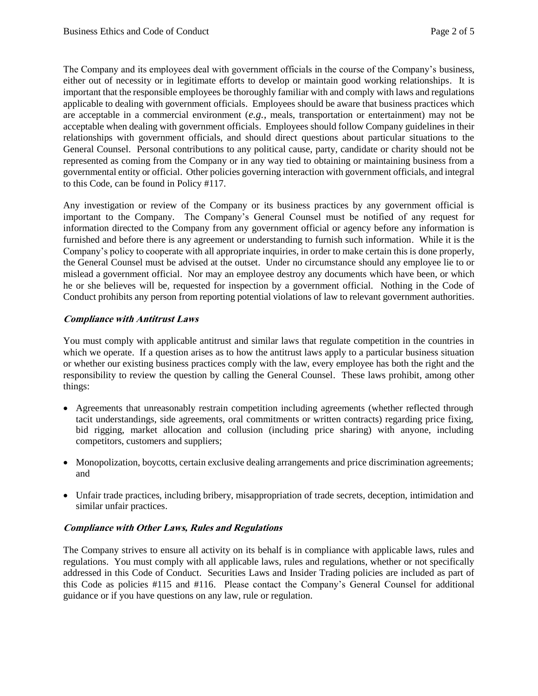The Company and its employees deal with government officials in the course of the Company's business, either out of necessity or in legitimate efforts to develop or maintain good working relationships. It is important that the responsible employees be thoroughly familiar with and comply with laws and regulations applicable to dealing with government officials. Employees should be aware that business practices which are acceptable in a commercial environment (*e.g.,* meals, transportation or entertainment) may not be acceptable when dealing with government officials. Employees should follow Company guidelines in their relationships with government officials, and should direct questions about particular situations to the General Counsel. Personal contributions to any political cause, party, candidate or charity should not be represented as coming from the Company or in any way tied to obtaining or maintaining business from a governmental entity or official. Other policies governing interaction with government officials, and integral to this Code, can be found in Policy #117.

Any investigation or review of the Company or its business practices by any government official is important to the Company. The Company's General Counsel must be notified of any request for information directed to the Company from any government official or agency before any information is furnished and before there is any agreement or understanding to furnish such information. While it is the Company's policy to cooperate with all appropriate inquiries, in order to make certain this is done properly, the General Counsel must be advised at the outset. Under no circumstance should any employee lie to or mislead a government official. Nor may an employee destroy any documents which have been, or which he or she believes will be, requested for inspection by a government official. Nothing in the Code of Conduct prohibits any person from reporting potential violations of law to relevant government authorities.

### **Compliance with Antitrust Laws**

You must comply with applicable antitrust and similar laws that regulate competition in the countries in which we operate. If a question arises as to how the antitrust laws apply to a particular business situation or whether our existing business practices comply with the law, every employee has both the right and the responsibility to review the question by calling the General Counsel. These laws prohibit, among other things:

- Agreements that unreasonably restrain competition including agreements (whether reflected through tacit understandings, side agreements, oral commitments or written contracts) regarding price fixing, bid rigging, market allocation and collusion (including price sharing) with anyone, including competitors, customers and suppliers;
- Monopolization, boycotts, certain exclusive dealing arrangements and price discrimination agreements; and
- Unfair trade practices, including bribery, misappropriation of trade secrets, deception, intimidation and similar unfair practices.

### **Compliance with Other Laws, Rules and Regulations**

The Company strives to ensure all activity on its behalf is in compliance with applicable laws, rules and regulations. You must comply with all applicable laws, rules and regulations, whether or not specifically addressed in this Code of Conduct. Securities Laws and Insider Trading policies are included as part of this Code as policies #115 and #116. Please contact the Company's General Counsel for additional guidance or if you have questions on any law, rule or regulation.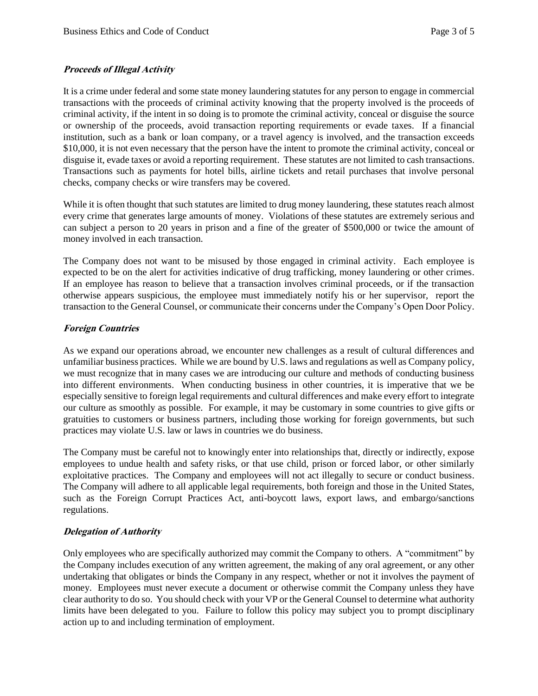# **Proceeds of Illegal Activity**

It is a crime under federal and some state money laundering statutes for any person to engage in commercial transactions with the proceeds of criminal activity knowing that the property involved is the proceeds of criminal activity, if the intent in so doing is to promote the criminal activity, conceal or disguise the source or ownership of the proceeds, avoid transaction reporting requirements or evade taxes. If a financial institution, such as a bank or loan company, or a travel agency is involved, and the transaction exceeds \$10,000, it is not even necessary that the person have the intent to promote the criminal activity, conceal or disguise it, evade taxes or avoid a reporting requirement. These statutes are not limited to cash transactions. Transactions such as payments for hotel bills, airline tickets and retail purchases that involve personal checks, company checks or wire transfers may be covered.

While it is often thought that such statutes are limited to drug money laundering, these statutes reach almost every crime that generates large amounts of money. Violations of these statutes are extremely serious and can subject a person to 20 years in prison and a fine of the greater of \$500,000 or twice the amount of money involved in each transaction.

The Company does not want to be misused by those engaged in criminal activity. Each employee is expected to be on the alert for activities indicative of drug trafficking, money laundering or other crimes. If an employee has reason to believe that a transaction involves criminal proceeds, or if the transaction otherwise appears suspicious, the employee must immediately notify his or her supervisor, report the transaction to the General Counsel, or communicate their concerns under the Company's Open Door Policy.

### **Foreign Countries**

As we expand our operations abroad, we encounter new challenges as a result of cultural differences and unfamiliar business practices. While we are bound by U.S. laws and regulations as well as Company policy, we must recognize that in many cases we are introducing our culture and methods of conducting business into different environments. When conducting business in other countries, it is imperative that we be especially sensitive to foreign legal requirements and cultural differences and make every effort to integrate our culture as smoothly as possible. For example, it may be customary in some countries to give gifts or gratuities to customers or business partners, including those working for foreign governments, but such practices may violate U.S. law or laws in countries we do business.

The Company must be careful not to knowingly enter into relationships that, directly or indirectly, expose employees to undue health and safety risks, or that use child, prison or forced labor, or other similarly exploitative practices. The Company and employees will not act illegally to secure or conduct business. The Company will adhere to all applicable legal requirements, both foreign and those in the United States, such as the Foreign Corrupt Practices Act, anti-boycott laws, export laws, and embargo/sanctions regulations.

# **Delegation of Authority**

Only employees who are specifically authorized may commit the Company to others. A "commitment" by the Company includes execution of any written agreement, the making of any oral agreement, or any other undertaking that obligates or binds the Company in any respect, whether or not it involves the payment of money. Employees must never execute a document or otherwise commit the Company unless they have clear authority to do so. You should check with your VP or the General Counsel to determine what authority limits have been delegated to you. Failure to follow this policy may subject you to prompt disciplinary action up to and including termination of employment.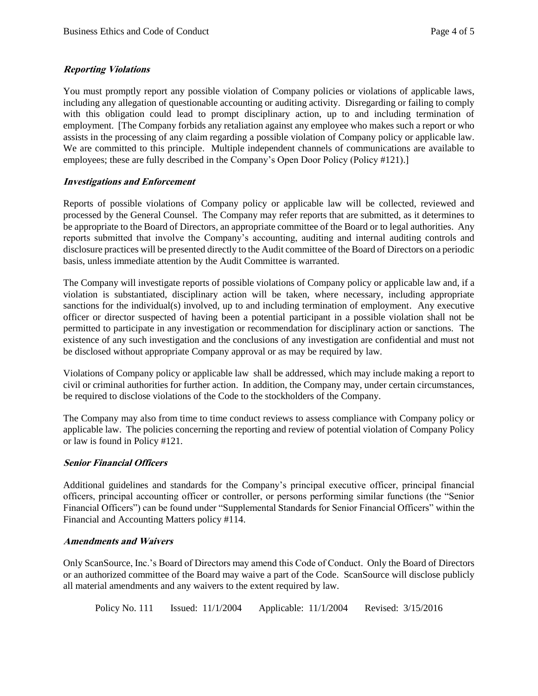### **Reporting Violations**

You must promptly report any possible violation of Company policies or violations of applicable laws, including any allegation of questionable accounting or auditing activity. Disregarding or failing to comply with this obligation could lead to prompt disciplinary action, up to and including termination of employment. [The Company forbids any retaliation against any employee who makes such a report or who assists in the processing of any claim regarding a possible violation of Company policy or applicable law. We are committed to this principle. Multiple independent channels of communications are available to employees; these are fully described in the Company's Open Door Policy (Policy #121).]

# **Investigations and Enforcement**

Reports of possible violations of Company policy or applicable law will be collected, reviewed and processed by the General Counsel. The Company may refer reports that are submitted, as it determines to be appropriate to the Board of Directors, an appropriate committee of the Board or to legal authorities. Any reports submitted that involve the Company's accounting, auditing and internal auditing controls and disclosure practices will be presented directly to the Audit committee of the Board of Directors on a periodic basis, unless immediate attention by the Audit Committee is warranted.

The Company will investigate reports of possible violations of Company policy or applicable law and, if a violation is substantiated, disciplinary action will be taken, where necessary, including appropriate sanctions for the individual(s) involved, up to and including termination of employment. Any executive officer or director suspected of having been a potential participant in a possible violation shall not be permitted to participate in any investigation or recommendation for disciplinary action or sanctions. The existence of any such investigation and the conclusions of any investigation are confidential and must not be disclosed without appropriate Company approval or as may be required by law.

Violations of Company policy or applicable law shall be addressed, which may include making a report to civil or criminal authorities for further action. In addition, the Company may, under certain circumstances, be required to disclose violations of the Code to the stockholders of the Company.

The Company may also from time to time conduct reviews to assess compliance with Company policy or applicable law. The policies concerning the reporting and review of potential violation of Company Policy or law is found in Policy #121.

### **Senior Financial Officers**

Additional guidelines and standards for the Company's principal executive officer, principal financial officers, principal accounting officer or controller, or persons performing similar functions (the "Senior Financial Officers") can be found under "Supplemental Standards for Senior Financial Officers" within the Financial and Accounting Matters policy #114.

### **Amendments and Waivers**

Only ScanSource, Inc.'s Board of Directors may amend this Code of Conduct. Only the Board of Directors or an authorized committee of the Board may waive a part of the Code. ScanSource will disclose publicly all material amendments and any waivers to the extent required by law.